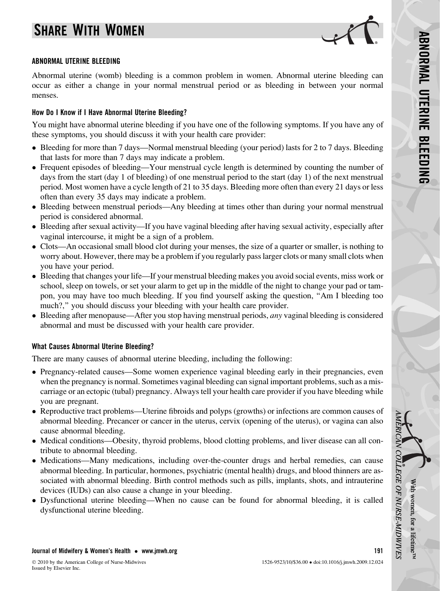# SHARE WITH WOMEN



#### ABNORMAL UTERINE BLEEDING

Abnormal uterine (womb) bleeding is a common problem in women. Abnormal uterine bleeding can occur as either a change in your normal menstrual period or as bleeding in between your normal menses.

#### How Do I Know if I Have Abnormal Uterine Bleeding?

You might have abnormal uterine bleeding if you have one of the following symptoms. If you have any of these symptoms, you should discuss it with your health care provider:

- Bleeding for more than 7 days—Normal menstrual bleeding (your period) lasts for 2 to 7 days. Bleeding that lasts for more than 7 days may indicate a problem.
- Frequent episodes of bleeding—Your menstrual cycle length is determined by counting the number of days from the start (day 1 of bleeding) of one menstrual period to the start (day 1) of the next menstrual period. Most women have a cycle length of 21 to 35 days. Bleeding more often than every 21 days or less often than every 35 days may indicate a problem.
- Bleeding between menstrual periods—Any bleeding at times other than during your normal menstrual period is considered abnormal.
- Bleeding after sexual activity—If you have vaginal bleeding after having sexual activity, especially after vaginal intercourse, it might be a sign of a problem.
- Clots—An occasional small blood clot during your menses, the size of a quarter or smaller, is nothing to worry about. However, there may be a problem if you regularly pass larger clots or many small clots when you have your period.
- Bleeding that changes your life—If your menstrual bleeding makes you avoid social events, miss work or school, sleep on towels, or set your alarm to get up in the middle of the night to change your pad or tampon, you may have too much bleeding. If you find yourself asking the question, ''Am I bleeding too much?," you should discuss your bleeding with your health care provider.
- Bleeding after menopause—After you stop having menstrual periods, any vaginal bleeding is considered abnormal and must be discussed with your health care provider.

#### What Causes Abnormal Uterine Bleeding?

There are many causes of abnormal uterine bleeding, including the following:

- Pregnancy-related causes—Some women experience vaginal bleeding early in their pregnancies, even when the pregnancy is normal. Sometimes vaginal bleeding can signal important problems, such as a miscarriage or an ectopic (tubal) pregnancy. Always tell your health care provider if you have bleeding while you are pregnant.
- Reproductive tract problems—Uterine fibroids and polyps (growths) or infections are common causes of abnormal bleeding. Precancer or cancer in the uterus, cervix (opening of the uterus), or vagina can also cause abnormal bleeding.
- Medical conditions—Obesity, thyroid problems, blood clotting problems, and liver disease can all contribute to abnormal bleeding.
- Medications—Many medications, including over-the-counter drugs and herbal remedies, can cause abnormal bleeding. In particular, hormones, psychiatric (mental health) drugs, and blood thinners are associated with abnormal bleeding. Birth control methods such as pills, implants, shots, and intrauterine devices (IUDs) can also cause a change in your bleeding.
- Dysfunctional uterine bleeding—When no cause can be found for abnormal bleeding, it is called dysfunctional uterine bleeding.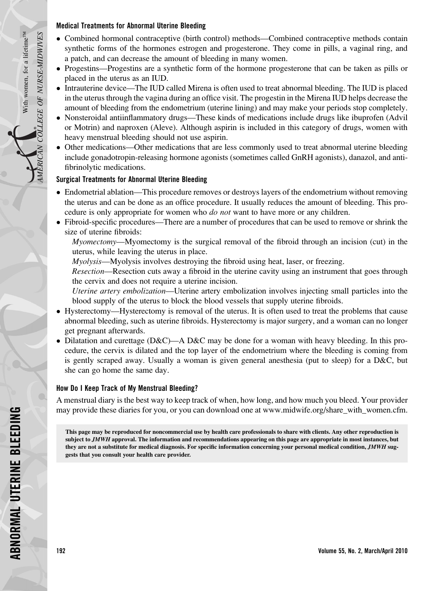#### Medical Treatments for Abnormal Uterine Bleeding

- Combined hormonal contraceptive (birth control) methods—Combined contraceptive methods contain synthetic forms of the hormones estrogen and progesterone. They come in pills, a vaginal ring, and a patch, and can decrease the amount of bleeding in many women.
- Progestins—Progestins are a synthetic form of the hormone progesterone that can be taken as pills or placed in the uterus as an IUD.
- Intrauterine device—The IUD called Mirena is often used to treat abnormal bleeding. The IUD is placed in the uterus through the vagina during an office visit. The progestin in the Mirena IUD helps decrease the amount of bleeding from the endometrium (uterine lining) and may make your periods stop completely.
- Nonsteroidal antiinflammatory drugs—These kinds of medications include drugs like ibuprofen (Advil or Motrin) and naproxen (Aleve). Although aspirin is included in this category of drugs, women with heavy menstrual bleeding should not use aspirin.
- Other medications—Other medications that are less commonly used to treat abnormal uterine bleeding include gonadotropin-releasing hormone agonists (sometimes called GnRH agonists), danazol, and antifibrinolytic medications.

## Surgical Treatments for Abnormal Uterine Bleeding

- Endometrial ablation—This procedure removes or destroys layers of the endometrium without removing the uterus and can be done as an office procedure. It usually reduces the amount of bleeding. This procedure is only appropriate for women who *do not* want to have more or any children.
- Fibroid-specific procedures—There are a number of procedures that can be used to remove or shrink the size of uterine fibroids:

Myomectomy—Myomectomy is the surgical removal of the fibroid through an incision (cut) in the uterus, while leaving the uterus in place.

Myolysis—Myolysis involves destroying the fibroid using heat, laser, or freezing.

Resection—Resection cuts away a fibroid in the uterine cavity using an instrument that goes through the cervix and does not require a uterine incision.

Uterine artery embolization—Uterine artery embolization involves injecting small particles into the blood supply of the uterus to block the blood vessels that supply uterine fibroids.

- Hysterectomy—Hysterectomy is removal of the uterus. It is often used to treat the problems that cause abnormal bleeding, such as uterine fibroids. Hysterectomy is major surgery, and a woman can no longer get pregnant afterwards.
- Dilatation and curettage (D&C)—A D&C may be done for a woman with heavy bleeding. In this procedure, the cervix is dilated and the top layer of the endometrium where the bleeding is coming from is gently scraped away. Usually a woman is given general anesthesia (put to sleep) for a D&C, but she can go home the same day.

### How Do I Keep Track of My Menstrual Bleeding?

A menstrual diary is the best way to keep track of when, how long, and how much you bleed. Your provider may provide these diaries for you, or you can download one at [www.midwife.org/share\\_with\\_women.cfm](http://www.midwife.org/share_with_women.cfm).

This page may be reproduced for noncommercial use by health care professionals to share with clients. Any other reproduction is subject to JMWH approval. The information and recommendations appearing on this page are appropriate in most instances, but they are not a substitute for medical diagnosis. For specific information concerning your personal medical condition, JMWH suggests that you consult your health care provider.

Ā.

AMERICAN COLLEGE OF NURSE-MIDWIVES

N COLLEGE OF NURSE-MIDWIVES